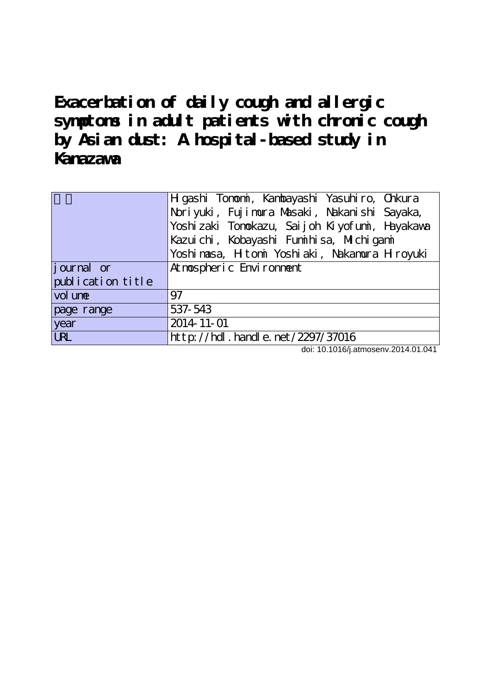**Exacerbation of daily cough and allergic symptoms in adult patients with chronic cough by Asian dust: A hospital-based study in Kanazawa**

| Noriyuki, Fujimura Masaki, Nakanishi Sayaka,<br>Yoshi zaki Tonokazu, Saijoh Kiyofuni, Hayakawa<br>Kazuichi, Kobayashi Funihisa, Michigani<br>Yoshi nasa, Hitoni Yoshi aki, Nakamura Hiroyuki<br>journal or<br>At nots pheric Environment |
|------------------------------------------------------------------------------------------------------------------------------------------------------------------------------------------------------------------------------------------|
|                                                                                                                                                                                                                                          |
|                                                                                                                                                                                                                                          |
|                                                                                                                                                                                                                                          |
|                                                                                                                                                                                                                                          |
|                                                                                                                                                                                                                                          |
| publication title                                                                                                                                                                                                                        |
| vol une<br>97                                                                                                                                                                                                                            |
| 537-543<br>page range                                                                                                                                                                                                                    |
| 2014-11-01<br>year                                                                                                                                                                                                                       |
| <b>URL</b><br>http://hdl.handle.net/2297/37016                                                                                                                                                                                           |

doi: 10.1016/j.atmosenv.2014.01.041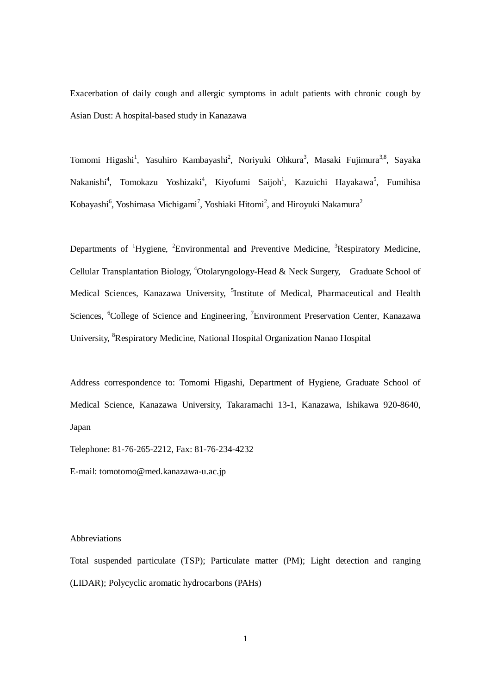Exacerbation of daily cough and allergic symptoms in adult patients with chronic cough by Asian Dust: A hospital-based study in Kanazawa

Tomomi Higashi<sup>1</sup>, Yasuhiro Kambayashi<sup>2</sup>, Noriyuki Ohkura<sup>3</sup>, Masaki Fujimura<sup>3,8</sup>, Sayaka Nakanishi<sup>4</sup>, Tomokazu Yoshizaki<sup>4</sup>, Kiyofumi Saijoh<sup>1</sup>, Kazuichi Hayakawa<sup>5</sup>, Fumihisa Kobayashi<sup>6</sup>, Yoshimasa Michigami<sup>7</sup>, Yoshiaki Hitomi<sup>2</sup>, and Hiroyuki Nakamura<sup>2</sup>

Departments of <sup>1</sup>Hygiene, <sup>2</sup>Environmental and Preventive Medicine, <sup>3</sup>Respiratory Medicine, Cellular Transplantation Biology, <sup>4</sup>Otolaryngology-Head & Neck Surgery, Graduate School of Medical Sciences, Kanazawa University, <sup>5</sup>Institute of Medical, Pharmaceutical and Health Sciences, <sup>6</sup>College of Science and Engineering, <sup>7</sup>Environment Preservation Center, Kanazawa University, <sup>8</sup>Respiratory Medicine, National Hospital Organization Nanao Hospital

Address correspondence to: Tomomi Higashi, Department of Hygiene, Graduate School of Medical Science, Kanazawa University, Takaramachi 13-1, Kanazawa, Ishikawa 920-8640, Japan

Telephone: 81-76-265-2212, Fax: 81-76-234-4232

E-mail: tomotomo@med.kanazawa-u.ac.jp

#### Abbreviations

Total suspended particulate (TSP); Particulate matter (PM); Light detection and ranging (LIDAR); Polycyclic aromatic hydrocarbons (PAHs)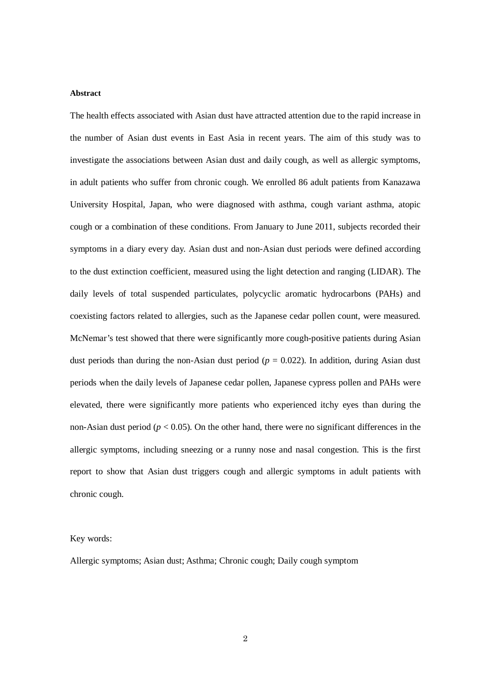## **Abstract**

The health effects associated with Asian dust have attracted attention due to the rapid increase in the number of Asian dust events in East Asia in recent years. The aim of this study was to investigate the associations between Asian dust and daily cough, as well as allergic symptoms, in adult patients who suffer from chronic cough. We enrolled 86 adult patients from Kanazawa University Hospital, Japan, who were diagnosed with asthma, cough variant asthma, atopic cough or a combination of these conditions. From January to June 2011, subjects recorded their symptoms in a diary every day. Asian dust and non-Asian dust periods were defined according to the dust extinction coefficient, measured using the light detection and ranging (LIDAR). The daily levels of total suspended particulates, polycyclic aromatic hydrocarbons (PAHs) and coexisting factors related to allergies, such as the Japanese cedar pollen count, were measured. McNemar's test showed that there were significantly more cough-positive patients during Asian dust periods than during the non-Asian dust period ( $p = 0.022$ ). In addition, during Asian dust periods when the daily levels of Japanese cedar pollen, Japanese cypress pollen and PAHs were elevated, there were significantly more patients who experienced itchy eyes than during the non-Asian dust period ( $p < 0.05$ ). On the other hand, there were no significant differences in the allergic symptoms, including sneezing or a runny nose and nasal congestion. This is the first report to show that Asian dust triggers cough and allergic symptoms in adult patients with chronic cough.

### Key words:

Allergic symptoms; Asian dust; Asthma; Chronic cough; Daily cough symptom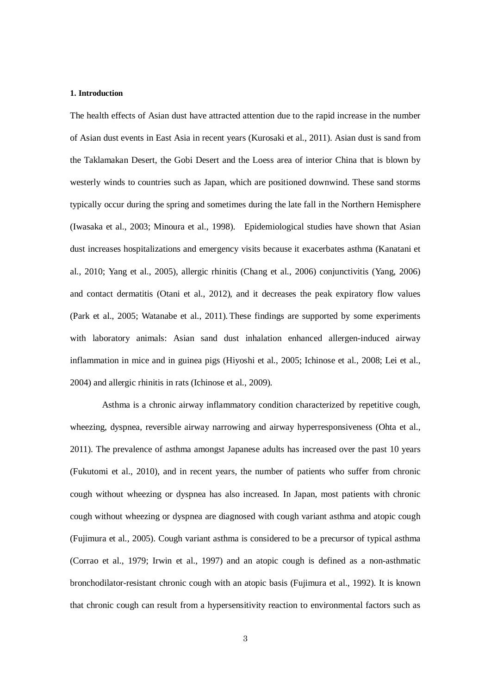### **1. Introduction**

The health effects of Asian dust have attracted attention due to the rapid increase in the number of Asian dust events in East Asia in recent years (Kurosaki et al., 2011). Asian dust is sand from the Taklamakan Desert, the Gobi Desert and the Loess area of interior China that is blown by westerly winds to countries such as Japan, which are positioned downwind. These sand storms typically occur during the spring and sometimes during the late fall in the Northern Hemisphere (Iwasaka et al., 2003; Minoura et al., 1998). Epidemiological studies have shown that Asian dust increases hospitalizations and emergency visits because it exacerbates asthma (Kanatani et al., 2010; Yang et al., 2005), allergic rhinitis (Chang et al., 2006) conjunctivitis (Yang, 2006) and contact dermatitis (Otani et al., 2012), and it decreases the peak expiratory flow values (Park et al., 2005; Watanabe et al., 2011). These findings are supported by some experiments with laboratory animals: Asian sand dust inhalation enhanced allergen-induced airway inflammation in mice and in guinea pigs (Hiyoshi et al., 2005; Ichinose et al., 2008; Lei et al., 2004) and allergic rhinitis in rats (Ichinose et al., 2009).

Asthma is a chronic airway inflammatory condition characterized by repetitive cough, wheezing, dyspnea, reversible airway narrowing and airway hyperresponsiveness (Ohta et al., 2011). The prevalence of asthma amongst Japanese adults has increased over the past 10 years (Fukutomi et al., 2010), and in recent years, the number of patients who suffer from chronic cough without wheezing or dyspnea has also increased. In Japan, most patients with chronic cough without wheezing or dyspnea are diagnosed with cough variant asthma and atopic cough (Fujimura et al., 2005). Cough variant asthma is considered to be a precursor of typical asthma (Corrao et al., 1979; Irwin et al., 1997) and an atopic cough is defined as a non-asthmatic bronchodilator-resistant chronic cough with an atopic basis (Fujimura et al., 1992). It is known that chronic cough can result from a hypersensitivity reaction to environmental factors such as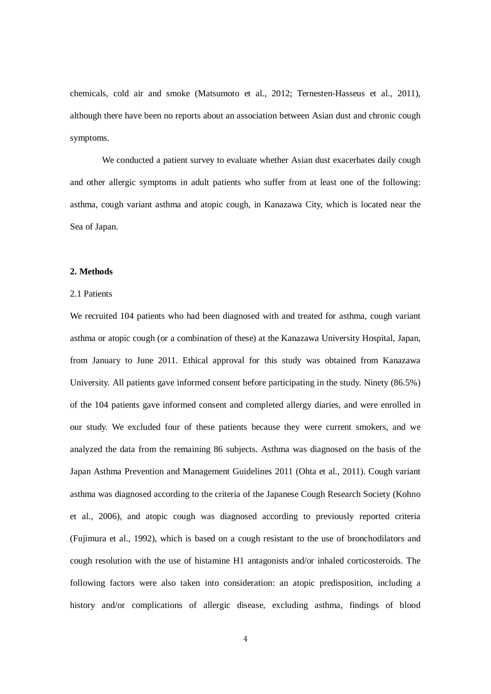chemicals, cold air and smoke (Matsumoto et al., 2012; Ternesten-Hasseus et al., 2011), although there have been no reports about an association between Asian dust and chronic cough symptoms.

We conducted a patient survey to evaluate whether Asian dust exacerbates daily cough and other allergic symptoms in adult patients who suffer from at least one of the following: asthma, cough variant asthma and atopic cough, in Kanazawa City, which is located near the Sea of Japan.

# **2. Methods**

# 2.1 Patients

We recruited 104 patients who had been diagnosed with and treated for asthma, cough variant asthma or atopic cough (or a combination of these) at the Kanazawa University Hospital, Japan, from January to June 2011. Ethical approval for this study was obtained from Kanazawa University. All patients gave informed consent before participating in the study. Ninety (86.5%) of the 104 patients gave informed consent and completed allergy diaries, and were enrolled in our study. We excluded four of these patients because they were current smokers, and we analyzed the data from the remaining 86 subjects. Asthma was diagnosed on the basis of the Japan Asthma Prevention and Management Guidelines 2011 (Ohta et al., 2011). Cough variant asthma was diagnosed according to the criteria of the Japanese Cough Research Society (Kohno et al., 2006), and atopic cough was diagnosed according to previously reported criteria (Fujimura et al., 1992), which is based on a cough resistant to the use of bronchodilators and cough resolution with the use of histamine H1 antagonists and/or inhaled corticosteroids. The following factors were also taken into consideration: an atopic predisposition, including a history and/or complications of allergic disease, excluding asthma, findings of blood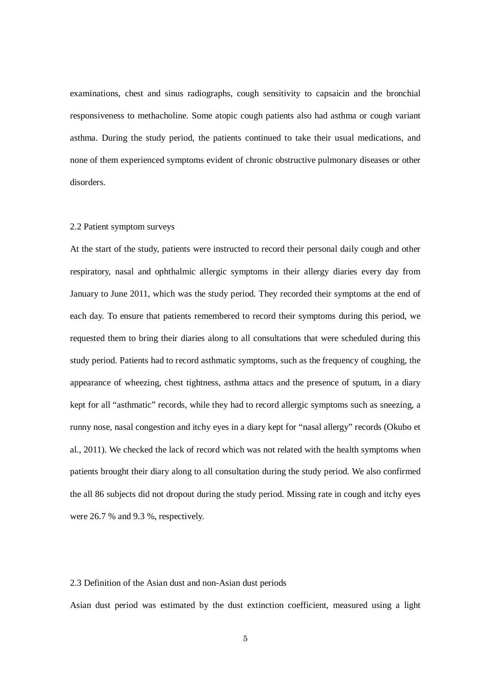examinations, chest and sinus radiographs, cough sensitivity to capsaicin and the bronchial responsiveness to methacholine. Some atopic cough patients also had asthma or cough variant asthma. During the study period, the patients continued to take their usual medications, and none of them experienced symptoms evident of chronic obstructive pulmonary diseases or other disorders.

### 2.2 Patient symptom surveys

At the start of the study, patients were instructed to record their personal daily cough and other respiratory, nasal and ophthalmic allergic symptoms in their allergy diaries every day from January to June 2011, which was the study period. They recorded their symptoms at the end of each day. To ensure that patients remembered to record their symptoms during this period, we requested them to bring their diaries along to all consultations that were scheduled during this study period. Patients had to record asthmatic symptoms, such as the frequency of coughing, the appearance of wheezing, chest tightness, asthma attacs and the presence of sputum, in a diary kept for all "asthmatic" records, while they had to record allergic symptoms such as sneezing, a runny nose, nasal congestion and itchy eyes in a diary kept for "nasal allergy" records (Okubo et al., 2011). We checked the lack of record which was not related with the health symptoms when patients brought their diary along to all consultation during the study period. We also confirmed the all 86 subjects did not dropout during the study period. Missing rate in cough and itchy eyes were 26.7 % and 9.3 %, respectively.

### 2.3 Definition of the Asian dust and non-Asian dust periods

Asian dust period was estimated by the dust extinction coefficient, measured using a light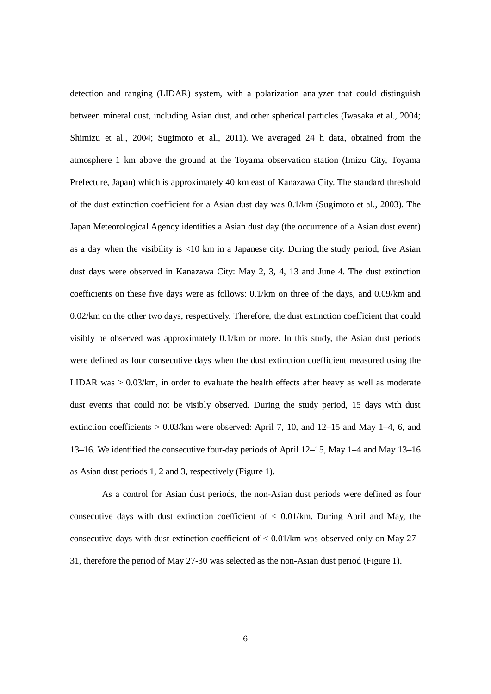detection and ranging (LIDAR) system, with a polarization analyzer that could distinguish between mineral dust, including Asian dust, and other spherical particles (Iwasaka et al., 2004; Shimizu et al., 2004; Sugimoto et al., 2011). We averaged 24 h data, obtained from the atmosphere 1 km above the ground at the Toyama observation station (Imizu City, Toyama Prefecture, Japan) which is approximately 40 km east of Kanazawa City. The standard threshold of the dust extinction coefficient for a Asian dust day was 0.1/km (Sugimoto et al., 2003). The Japan Meteorological Agency identifies a Asian dust day (the occurrence of a Asian dust event) as a day when the visibility is  $\langle 10 \text{ km} \rangle$  in a Japanese city. During the study period, five Asian dust days were observed in Kanazawa City: May 2, 3, 4, 13 and June 4. The dust extinction coefficients on these five days were as follows: 0.1/km on three of the days, and 0.09/km and 0.02/km on the other two days, respectively. Therefore, the dust extinction coefficient that could visibly be observed was approximately 0.1/km or more. In this study, the Asian dust periods were defined as four consecutive days when the dust extinction coefficient measured using the LIDAR was > 0.03/km, in order to evaluate the health effects after heavy as well as moderate dust events that could not be visibly observed. During the study period, 15 days with dust extinction coefficients  $> 0.03/km$  were observed: April 7, 10, and 12–15 and May 1–4, 6, and 13–16. We identified the consecutive four-day periods of April 12–15, May 1–4 and May 13–16 as Asian dust periods 1, 2 and 3, respectively (Figure 1).

As a control for Asian dust periods, the non-Asian dust periods were defined as four consecutive days with dust extinction coefficient of  $< 0.01$ /km. During April and May, the consecutive days with dust extinction coefficient of  $\lt 0.01/\text{km}$  was observed only on May 27– 31, therefore the period of May 27-30 was selected as the non-Asian dust period (Figure 1).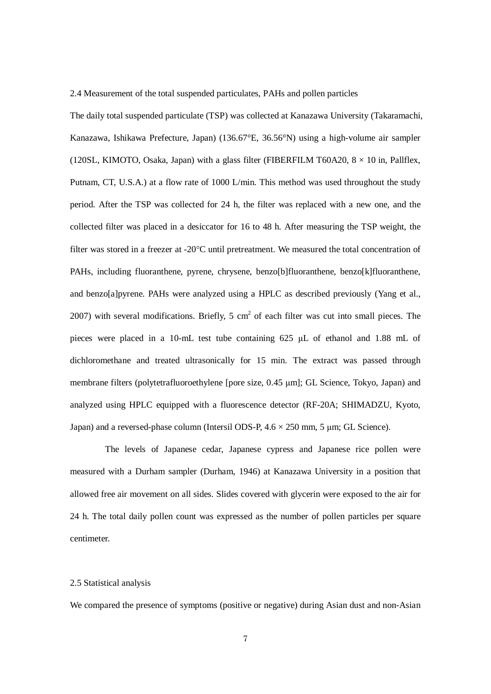2.4 Measurement of the total suspended particulates, PAHs and pollen particles

The daily total suspended particulate (TSP) was collected at Kanazawa University (Takaramachi, Kanazawa, Ishikawa Prefecture, Japan) (136.67°E, 36.56°N) using a high-volume air sampler (120SL, KIMOTO, Osaka, Japan) with a glass filter (FIBERFILM T60A20,  $8 \times 10$  in, Pallflex, Putnam, CT, U.S.A.) at a flow rate of 1000 L/min. This method was used throughout the study period. After the TSP was collected for 24 h, the filter was replaced with a new one, and the collected filter was placed in a desiccator for 16 to 48 h. After measuring the TSP weight, the filter was stored in a freezer at -20°C until pretreatment. We measured the total concentration of PAHs, including fluoranthene, pyrene, chrysene, benzo[b]fluoranthene, benzo[k]fluoranthene, and benzo[a]pyrene. PAHs were analyzed using a HPLC as described previously (Yang et al., 2007) with several modifications. Briefly,  $5 \text{ cm}^2$  of each filter was cut into small pieces. The pieces were placed in a 10-mL test tube containing 625 μL of ethanol and 1.88 mL of dichloromethane and treated ultrasonically for 15 min. The extract was passed through membrane filters (polytetrafluoroethylene [pore size, 0.45 μm]; GL Science, Tokyo, Japan) and analyzed using HPLC equipped with a fluorescence detector (RF-20A; SHIMADZU, Kyoto, Japan) and a reversed-phase column (Intersil ODS-P, 4.6 × 250 mm, 5 μm; GL Science).

The levels of Japanese cedar, Japanese cypress and Japanese rice pollen were measured with a Durham sampler (Durham, 1946) at Kanazawa University in a position that allowed free air movement on all sides. Slides covered with glycerin were exposed to the air for 24 h. The total daily pollen count was expressed as the number of pollen particles per square centimeter.

# 2.5 Statistical analysis

We compared the presence of symptoms (positive or negative) during Asian dust and non-Asian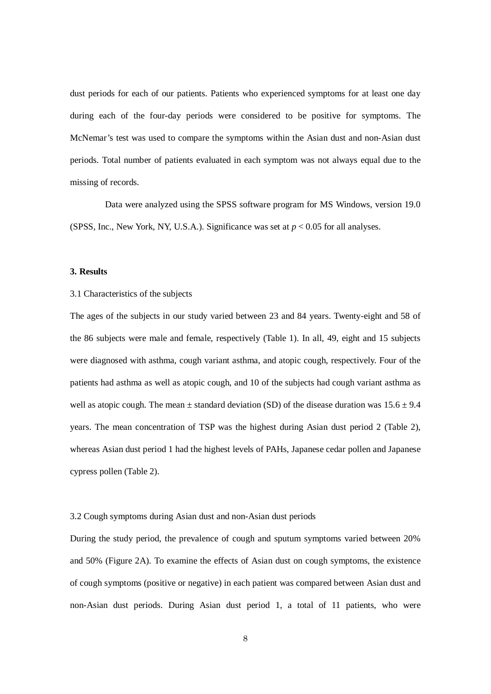dust periods for each of our patients. Patients who experienced symptoms for at least one day during each of the four-day periods were considered to be positive for symptoms. The McNemar's test was used to compare the symptoms within the Asian dust and non-Asian dust periods. Total number of patients evaluated in each symptom was not always equal due to the missing of records.

Data were analyzed using the SPSS software program for MS Windows, version 19.0 (SPSS, Inc., New York, NY, U.S.A.). Significance was set at *p* < 0.05 for all analyses.

# **3. Results**

# 3.1 Characteristics of the subjects

The ages of the subjects in our study varied between 23 and 84 years. Twenty-eight and 58 of the 86 subjects were male and female, respectively (Table 1). In all, 49, eight and 15 subjects were diagnosed with asthma, cough variant asthma, and atopic cough, respectively. Four of the patients had asthma as well as atopic cough, and 10 of the subjects had cough variant asthma as well as atopic cough. The mean  $\pm$  standard deviation (SD) of the disease duration was 15.6  $\pm$  9.4 years. The mean concentration of TSP was the highest during Asian dust period 2 (Table 2), whereas Asian dust period 1 had the highest levels of PAHs, Japanese cedar pollen and Japanese cypress pollen (Table 2).

### 3.2 Cough symptoms during Asian dust and non-Asian dust periods

During the study period, the prevalence of cough and sputum symptoms varied between 20% and 50% (Figure 2A). To examine the effects of Asian dust on cough symptoms, the existence of cough symptoms (positive or negative) in each patient was compared between Asian dust and non-Asian dust periods. During Asian dust period 1, a total of 11 patients, who were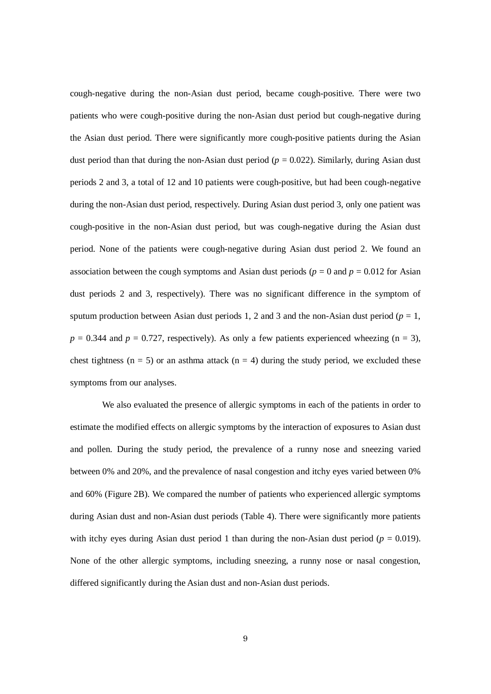cough-negative during the non-Asian dust period, became cough-positive. There were two patients who were cough-positive during the non-Asian dust period but cough-negative during the Asian dust period. There were significantly more cough-positive patients during the Asian dust period than that during the non-Asian dust period  $(p = 0.022)$ . Similarly, during Asian dust periods 2 and 3, a total of 12 and 10 patients were cough-positive, but had been cough-negative during the non-Asian dust period, respectively. During Asian dust period 3, only one patient was cough-positive in the non-Asian dust period, but was cough-negative during the Asian dust period. None of the patients were cough-negative during Asian dust period 2. We found an association between the cough symptoms and Asian dust periods ( $p = 0$  and  $p = 0.012$  for Asian dust periods 2 and 3, respectively). There was no significant difference in the symptom of sputum production between Asian dust periods 1, 2 and 3 and the non-Asian dust period ( $p = 1$ ,  $p = 0.344$  and  $p = 0.727$ , respectively). As only a few patients experienced wheezing (n = 3), chest tightness ( $n = 5$ ) or an asthma attack ( $n = 4$ ) during the study period, we excluded these symptoms from our analyses.

We also evaluated the presence of allergic symptoms in each of the patients in order to estimate the modified effects on allergic symptoms by the interaction of exposures to Asian dust and pollen. During the study period, the prevalence of a runny nose and sneezing varied between 0% and 20%, and the prevalence of nasal congestion and itchy eyes varied between 0% and 60% (Figure 2B). We compared the number of patients who experienced allergic symptoms during Asian dust and non-Asian dust periods (Table 4). There were significantly more patients with itchy eyes during Asian dust period 1 than during the non-Asian dust period ( $p = 0.019$ ). None of the other allergic symptoms, including sneezing, a runny nose or nasal congestion, differed significantly during the Asian dust and non-Asian dust periods.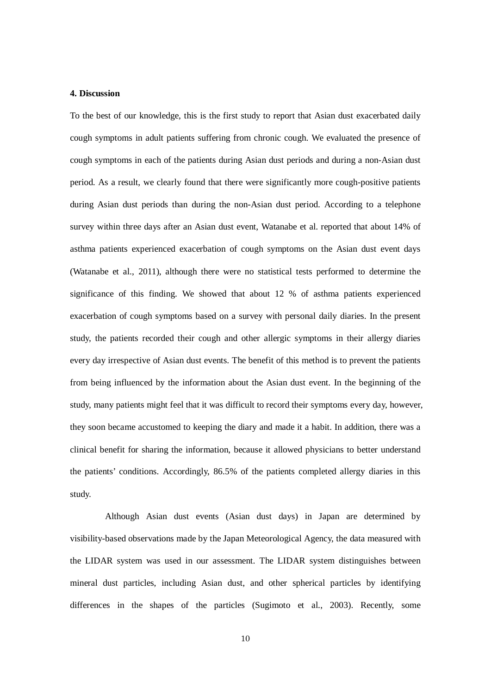### **4. Discussion**

To the best of our knowledge, this is the first study to report that Asian dust exacerbated daily cough symptoms in adult patients suffering from chronic cough. We evaluated the presence of cough symptoms in each of the patients during Asian dust periods and during a non-Asian dust period. As a result, we clearly found that there were significantly more cough-positive patients during Asian dust periods than during the non-Asian dust period. According to a telephone survey within three days after an Asian dust event, Watanabe et al. reported that about 14% of asthma patients experienced exacerbation of cough symptoms on the Asian dust event days (Watanabe et al., 2011), although there were no statistical tests performed to determine the significance of this finding. We showed that about 12 % of asthma patients experienced exacerbation of cough symptoms based on a survey with personal daily diaries. In the present study, the patients recorded their cough and other allergic symptoms in their allergy diaries every day irrespective of Asian dust events. The benefit of this method is to prevent the patients from being influenced by the information about the Asian dust event. In the beginning of the study, many patients might feel that it was difficult to record their symptoms every day, however, they soon became accustomed to keeping the diary and made it a habit. In addition, there was a clinical benefit for sharing the information, because it allowed physicians to better understand the patients' conditions. Accordingly, 86.5% of the patients completed allergy diaries in this study.

Although Asian dust events (Asian dust days) in Japan are determined by visibility-based observations made by the Japan Meteorological Agency, the data measured with the LIDAR system was used in our assessment. The LIDAR system distinguishes between mineral dust particles, including Asian dust, and other spherical particles by identifying differences in the shapes of the particles (Sugimoto et al., 2003). Recently, some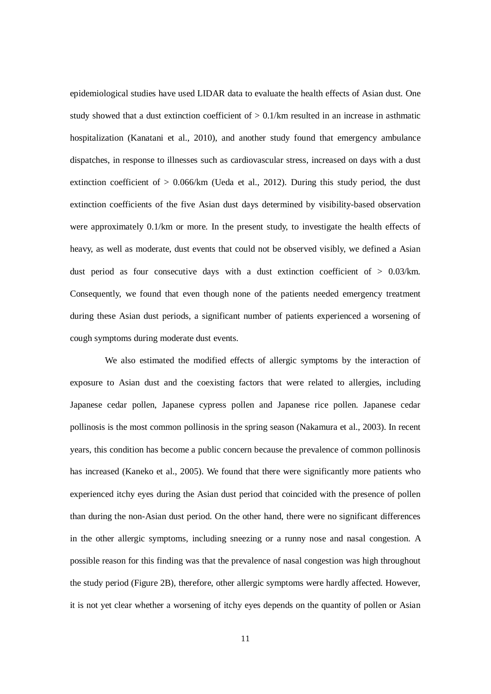epidemiological studies have used LIDAR data to evaluate the health effects of Asian dust*.* One study showed that a dust extinction coefficient of  $> 0.1/km$  resulted in an increase in asthmatic hospitalization (Kanatani et al., 2010), and another study found that emergency ambulance dispatches, in response to illnesses such as cardiovascular stress, increased on days with a dust extinction coefficient of  $> 0.066/km$  (Ueda et al., 2012). During this study period, the dust extinction coefficients of the five Asian dust days determined by visibility-based observation were approximately 0.1/km or more. In the present study, to investigate the health effects of heavy, as well as moderate, dust events that could not be observed visibly, we defined a Asian dust period as four consecutive days with a dust extinction coefficient of > 0.03/km. Consequently, we found that even though none of the patients needed emergency treatment during these Asian dust periods, a significant number of patients experienced a worsening of cough symptoms during moderate dust events.

We also estimated the modified effects of allergic symptoms by the interaction of exposure to Asian dust and the coexisting factors that were related to allergies, including Japanese cedar pollen, Japanese cypress pollen and Japanese rice pollen. Japanese cedar pollinosis is the most common pollinosis in the spring season (Nakamura et al., 2003). In recent years, this condition has become a public concern because the prevalence of common pollinosis has increased (Kaneko et al., 2005). We found that there were significantly more patients who experienced itchy eyes during the Asian dust period that coincided with the presence of pollen than during the non-Asian dust period. On the other hand, there were no significant differences in the other allergic symptoms, including sneezing or a runny nose and nasal congestion. A possible reason for this finding was that the prevalence of nasal congestion was high throughout the study period (Figure 2B), therefore, other allergic symptoms were hardly affected. However, it is not yet clear whether a worsening of itchy eyes depends on the quantity of pollen or Asian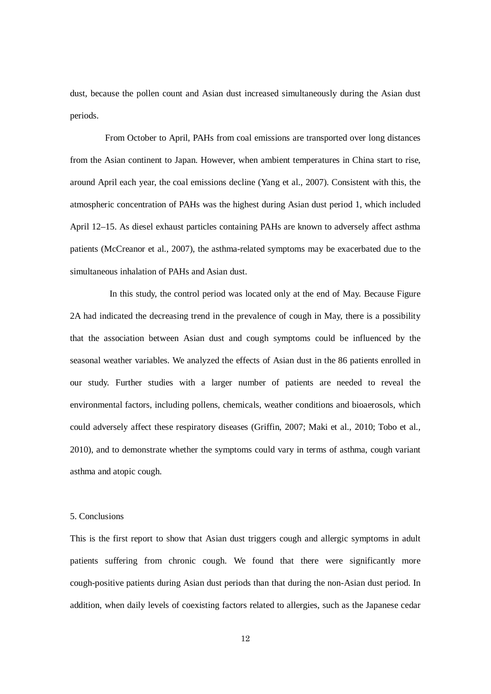dust*,* because the pollen count and Asian dust increased simultaneously during the Asian dust periods.

From October to April, PAHs from coal emissions are transported over long distances from the Asian continent to Japan. However, when ambient temperatures in China start to rise, around April each year, the coal emissions decline (Yang et al., 2007). Consistent with this, the atmospheric concentration of PAHs was the highest during Asian dust period 1, which included April 12–15. As diesel exhaust particles containing PAHs are known to adversely affect asthma patients (McCreanor et al., 2007), the asthma-related symptoms may be exacerbated due to the simultaneous inhalation of PAHs and Asian dust.

In this study, the control period was located only at the end of May. Because Figure 2A had indicated the decreasing trend in the prevalence of cough in May, there is a possibility that the association between Asian dust and cough symptoms could be influenced by the seasonal weather variables. We analyzed the effects of Asian dust in the 86 patients enrolled in our study. Further studies with a larger number of patients are needed to reveal the environmental factors, including pollens, chemicals, weather conditions and bioaerosols, which could adversely affect these respiratory diseases (Griffin, 2007; Maki et al., 2010; Tobo et al., 2010), and to demonstrate whether the symptoms could vary in terms of asthma, cough variant asthma and atopic cough.

# 5. Conclusions

This is the first report to show that Asian dust triggers cough and allergic symptoms in adult patients suffering from chronic cough. We found that there were significantly more cough-positive patients during Asian dust periods than that during the non-Asian dust period. In addition, when daily levels of coexisting factors related to allergies, such as the Japanese cedar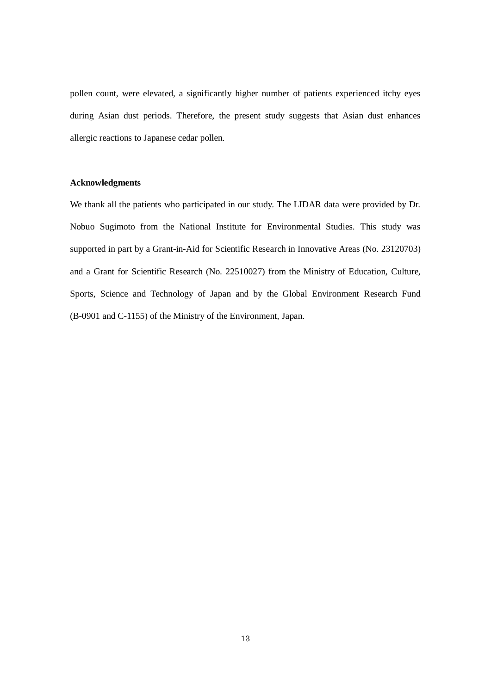pollen count, were elevated, a significantly higher number of patients experienced itchy eyes during Asian dust periods. Therefore, the present study suggests that Asian dust enhances allergic reactions to Japanese cedar pollen.

### **Acknowledgments**

We thank all the patients who participated in our study. The LIDAR data were provided by Dr. Nobuo Sugimoto from the National Institute for Environmental Studies. This study was supported in part by a Grant-in-Aid for Scientific Research in Innovative Areas (No. 23120703) and a Grant for Scientific Research (No. 22510027) from the Ministry of Education, Culture, Sports, Science and Technology of Japan and by the Global Environment Research Fund (B-0901 and C-1155) of the Ministry of the Environment, Japan.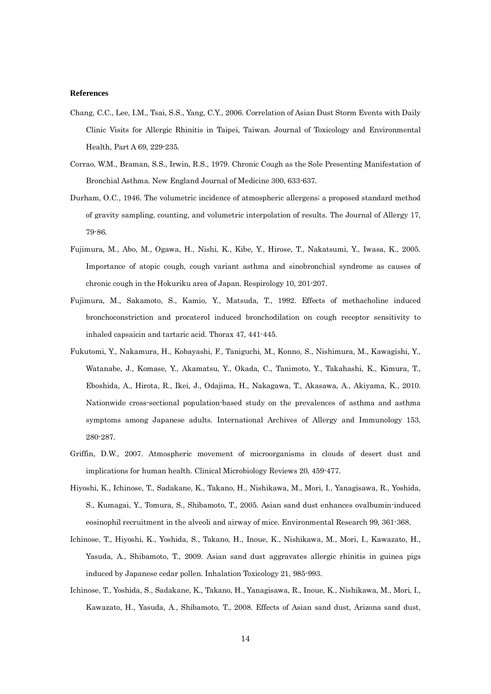#### **References**

- Chang, C.C., Lee, I.M., Tsai, S.S., Yang, C.Y., 2006. Correlation of Asian Dust Storm Events with Daily Clinic Visits for Allergic Rhinitis in Taipei, Taiwan. Journal of Toxicology and Environmental Health, Part A 69, 229-235.
- Corrao, W.M., Braman, S.S., Irwin, R.S., 1979. Chronic Cough as the Sole Presenting Manifestation of Bronchial Asthma. New England Journal of Medicine 300, 633-637.
- Durham, O.C., 1946. The volumetric incidence of atmospheric allergens; a proposed standard method of gravity sampling, counting, and volumetric interpolation of results. The Journal of Allergy 17, 79-86.
- Fujimura, M., Abo, M., Ogawa, H., Nishi, K., Kibe, Y., Hirose, T., Nakatsumi, Y., Iwasa, K., 2005. Importance of atopic cough, cough variant asthma and sinobronchial syndrome as causes of chronic cough in the Hokuriku area of Japan. Respirology 10, 201-207.
- Fujimura, M., Sakamoto, S., Kamio, Y., Matsuda, T., 1992. Effects of methacholine induced bronchoconstriction and procaterol induced bronchodilation on cough receptor sensitivity to inhaled capsaicin and tartaric acid. Thorax 47, 441-445.
- Fukutomi, Y., Nakamura, H., Kobayashi, F., Taniguchi, M., Konno, S., Nishimura, M., Kawagishi, Y., Watanabe, J., Komase, Y., Akamatsu, Y., Okada, C., Tanimoto, Y., Takahashi, K., Kimura, T., Eboshida, A., Hirota, R., Ikei, J., Odajima, H., Nakagawa, T., Akasawa, A., Akiyama, K., 2010. Nationwide cross-sectional population-based study on the prevalences of asthma and asthma symptoms among Japanese adults. International Archives of Allergy and Immunology 153, 280-287.
- Griffin, D.W., 2007. Atmospheric movement of microorganisms in clouds of desert dust and implications for human health. Clinical Microbiology Reviews 20, 459-477.
- Hiyoshi, K., Ichinose, T., Sadakane, K., Takano, H., Nishikawa, M., Mori, I., Yanagisawa, R., Yoshida, S., Kumagai, Y., Tomura, S., Shibamoto, T., 2005. Asian sand dust enhances ovalbumin-induced eosinophil recruitment in the alveoli and airway of mice. Environmental Research 99, 361-368.
- Ichinose, T., Hiyoshi, K., Yoshida, S., Takano, H., Inoue, K., Nishikawa, M., Mori, I., Kawazato, H., Yasuda, A., Shibamoto, T., 2009. Asian sand dust aggravates allergic rhinitis in guinea pigs induced by Japanese cedar pollen. Inhalation Toxicology 21, 985-993.
- Ichinose, T., Yoshida, S., Sadakane, K., Takano, H., Yanagisawa, R., Inoue, K., Nishikawa, M., Mori, I., Kawazato, H., Yasuda, A., Shibamoto, T., 2008. Effects of Asian sand dust, Arizona sand dust,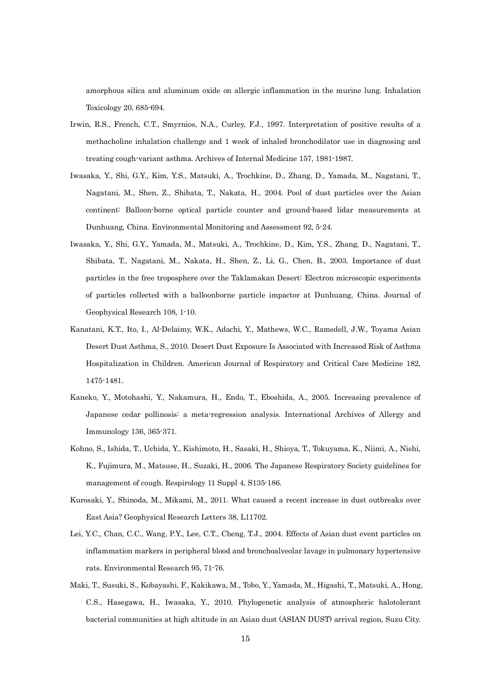amorphous silica and aluminum oxide on allergic inflammation in the murine lung. Inhalation Toxicology 20, 685-694.

- Irwin, R.S., French, C.T., Smyrnios, N.A., Curley, F.J., 1997. Interpretation of positive results of a methacholine inhalation challenge and 1 week of inhaled bronchodilator use in diagnosing and treating cough-variant asthma. Archives of Internal Medicine 157, 1981-1987.
- Iwasaka, Y., Shi, G.Y., Kim, Y.S., Matsuki, A., Trochkine, D., Zhang, D., Yamada, M., Nagatani, T., Nagatani, M., Shen, Z., Shibata, T., Nakata, H., 2004. Pool of dust particles over the Asian continent: Balloon-borne optical particle counter and ground-based lidar measurements at Dunhuang, China. Environmental Monitoring and Assessment 92, 5-24.
- Iwasaka, Y., Shi, G.Y., Yamada, M., Matsuki, A., Trochkine, D., Kim, Y.S., Zhang, D., Nagatani, T., Shibata, T., Nagatani, M., Nakata, H., Shen, Z., Li, G., Chen, B., 2003. Importance of dust particles in the free troposphere over the Taklamakan Desert: Electron microscopic experiments of particles collected with a balloonborne particle impactor at Dunhuang, China. Journal of Geophysical Research 108, 1-10.
- Kanatani, K.T., Ito, I., Al-Delaimy, W.K., Adachi, Y., Mathews, W.C., Ramsdell, J.W., Toyama Asian Desert Dust Asthma, S., 2010. Desert Dust Exposure Is Associated with Increased Risk of Asthma Hospitalization in Children. American Journal of Respiratory and Critical Care Medicine 182, 1475-1481.
- Kaneko, Y., Motohashi, Y., Nakamura, H., Endo, T., Eboshida, A., 2005. Increasing prevalence of Japanese cedar pollinosis: a meta-regression analysis. International Archives of Allergy and Immunology 136, 365-371.
- Kohno, S., Ishida, T., Uchida, Y., Kishimoto, H., Sasaki, H., Shioya, T., Tokuyama, K., Niimi, A., Nishi, K., Fujimura, M., Matsuse, H., Suzaki, H., 2006. The Japanese Respiratory Society guidelines for management of cough. Respirology 11 Suppl 4, S135-186.
- Kurosaki, Y., Shinoda, M., Mikami, M., 2011. What caused a recent increase in dust outbreaks over East Asia? Geophysical Research Letters 38, L11702.
- Lei, Y.C., Chan, C.C., Wang, P.Y., Lee, C.T., Cheng, T.J., 2004. Effects of Asian dust event particles on inflammation markers in peripheral blood and bronchoalveolar lavage in pulmonary hypertensive rats. Environmental Research 95, 71-76.
- Maki, T., Susuki, S., Kobayashi, F., Kakikawa, M., Tobo, Y., Yamada, M., Higashi, T., Matsuki, A., Hong, C.S., Hasegawa, H., Iwasaka, Y., 2010. Phylogenetic analysis of atmospheric halotolerant bacterial communities at high altitude in an Asian dust (ASIAN DUST) arrival region, Suzu City.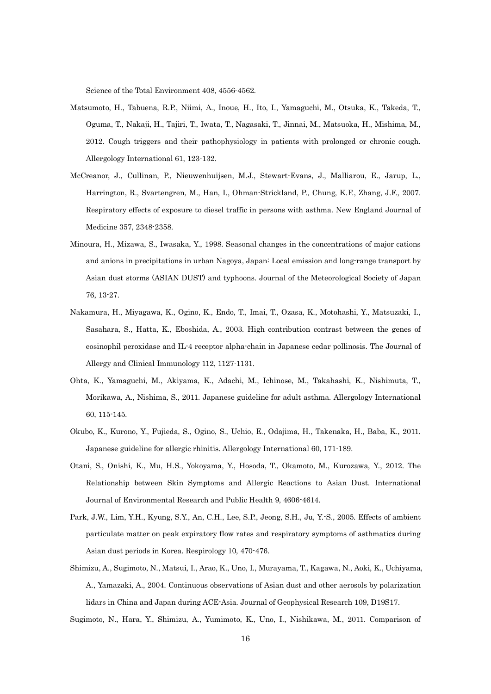Science of the Total Environment 408, 4556-4562.

- Matsumoto, H., Tabuena, R.P., Niimi, A., Inoue, H., Ito, I., Yamaguchi, M., Otsuka, K., Takeda, T., Oguma, T., Nakaji, H., Tajiri, T., Iwata, T., Nagasaki, T., Jinnai, M., Matsuoka, H., Mishima, M., 2012. Cough triggers and their pathophysiology in patients with prolonged or chronic cough. Allergology International 61, 123-132.
- McCreanor, J., Cullinan, P., Nieuwenhuijsen, M.J., Stewart-Evans, J., Malliarou, E., Jarup, L., Harrington, R., Svartengren, M., Han, I., Ohman-Strickland, P., Chung, K.F., Zhang, J.F., 2007. Respiratory effects of exposure to diesel traffic in persons with asthma. New England Journal of Medicine 357, 2348-2358.
- Minoura, H., Mizawa, S., Iwasaka, Y., 1998. Seasonal changes in the concentrations of major cations and anions in precipitations in urban Nagoya, Japan: Local emission and long-range transport by Asian dust storms (ASIAN DUST) and typhoons. Journal of the Meteorological Society of Japan 76, 13-27.
- Nakamura, H., Miyagawa, K., Ogino, K., Endo, T., Imai, T., Ozasa, K., Motohashi, Y., Matsuzaki, I., Sasahara, S., Hatta, K., Eboshida, A., 2003. High contribution contrast between the genes of eosinophil peroxidase and IL-4 receptor alpha-chain in Japanese cedar pollinosis. The Journal of Allergy and Clinical Immunology 112, 1127-1131.
- Ohta, K., Yamaguchi, M., Akiyama, K., Adachi, M., Ichinose, M., Takahashi, K., Nishimuta, T., Morikawa, A., Nishima, S., 2011. Japanese guideline for adult asthma. Allergology International 60, 115-145.
- Okubo, K., Kurono, Y., Fujieda, S., Ogino, S., Uchio, E., Odajima, H., Takenaka, H., Baba, K., 2011. Japanese guideline for allergic rhinitis. Allergology International 60, 171-189.
- Otani, S., Onishi, K., Mu, H.S., Yokoyama, Y., Hosoda, T., Okamoto, M., Kurozawa, Y., 2012. The Relationship between Skin Symptoms and Allergic Reactions to Asian Dust. International Journal of Environmental Research and Public Health 9, 4606-4614.
- Park, J.W., Lim, Y.H., Kyung, S.Y., An, C.H., Lee, S.P., Jeong, S.H., Ju, Y.-S., 2005. Effects of ambient particulate matter on peak expiratory flow rates and respiratory symptoms of asthmatics during Asian dust periods in Korea. Respirology 10, 470-476.
- Shimizu, A., Sugimoto, N., Matsui, I., Arao, K., Uno, I., Murayama, T., Kagawa, N., Aoki, K., Uchiyama, A., Yamazaki, A., 2004. Continuous observations of Asian dust and other aerosols by polarization lidars in China and Japan during ACE-Asia. Journal of Geophysical Research 109, D19S17.

Sugimoto, N., Hara, Y., Shimizu, A., Yumimoto, K., Uno, I., Nishikawa, M., 2011. Comparison of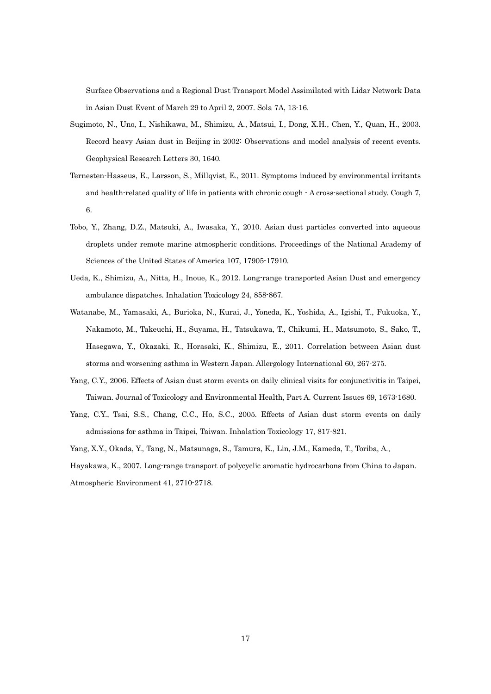Surface Observations and a Regional Dust Transport Model Assimilated with Lidar Network Data in Asian Dust Event of March 29 to April 2, 2007. Sola 7A, 13-16.

- Sugimoto, N., Uno, I., Nishikawa, M., Shimizu, A., Matsui, I., Dong, X.H., Chen, Y., Quan, H., 2003. Record heavy Asian dust in Beijing in 2002: Observations and model analysis of recent events. Geophysical Research Letters 30, 1640.
- Ternesten-Hasseus, E., Larsson, S., Millqvist, E., 2011. Symptoms induced by environmental irritants and health-related quality of life in patients with chronic cough - A cross-sectional study. Cough 7, 6.
- Tobo, Y., Zhang, D.Z., Matsuki, A., Iwasaka, Y., 2010. Asian dust particles converted into aqueous droplets under remote marine atmospheric conditions. Proceedings of the National Academy of Sciences of the United States of America 107, 17905-17910.
- Ueda, K., Shimizu, A., Nitta, H., Inoue, K., 2012. Long-range transported Asian Dust and emergency ambulance dispatches. Inhalation Toxicology 24, 858-867.
- Watanabe, M., Yamasaki, A., Burioka, N., Kurai, J., Yoneda, K., Yoshida, A., Igishi, T., Fukuoka, Y., Nakamoto, M., Takeuchi, H., Suyama, H., Tatsukawa, T., Chikumi, H., Matsumoto, S., Sako, T., Hasegawa, Y., Okazaki, R., Horasaki, K., Shimizu, E., 2011. Correlation between Asian dust storms and worsening asthma in Western Japan. Allergology International 60, 267-275.
- Yang, C.Y., 2006. Effects of Asian dust storm events on daily clinical visits for conjunctivitis in Taipei, Taiwan. Journal of Toxicology and Environmental Health, Part A. Current Issues 69, 1673-1680.
- Yang, C.Y., Tsai, S.S., Chang, C.C., Ho, S.C., 2005. Effects of Asian dust storm events on daily admissions for asthma in Taipei, Taiwan. Inhalation Toxicology 17, 817-821.
- Yang, X.Y., Okada, Y., Tang, N., Matsunaga, S., Tamura, K., Lin, J.M., Kameda, T., Toriba, A.,

Hayakawa, K., 2007. Long-range transport of polycyclic aromatic hydrocarbons from China to Japan. Atmospheric Environment 41, 2710-2718.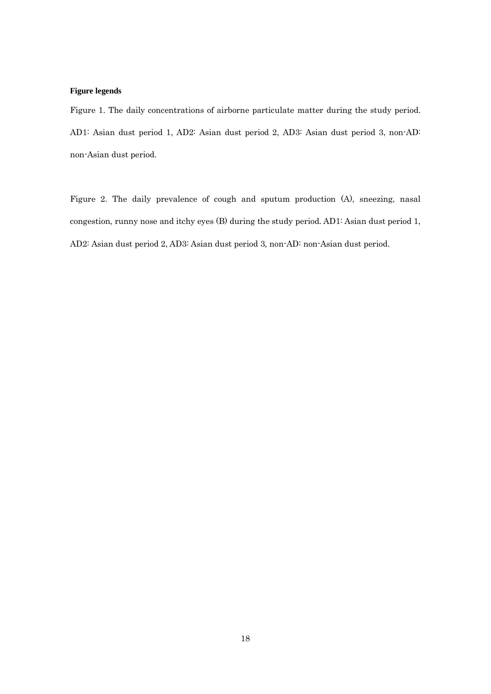# **Figure legends**

Figure 1. The daily concentrations of airborne particulate matter during the study period. AD1: Asian dust period 1, AD2: Asian dust period 2, AD3: Asian dust period 3, non-AD: non-Asian dust period.

Figure 2. The daily prevalence of cough and sputum production (A), sneezing, nasal congestion, runny nose and itchy eyes (B) during the study period. AD1: Asian dust period 1, AD2: Asian dust period 2, AD3: Asian dust period 3, non-AD: non-Asian dust period.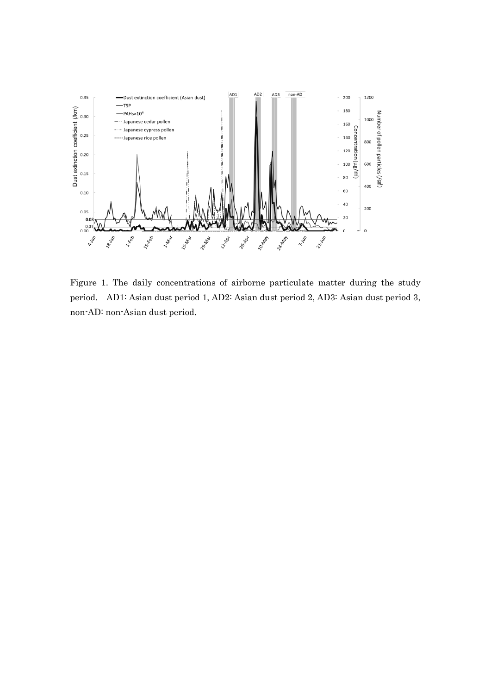

Figure 1. The daily concentrations of airborne particulate matter during the study period. AD1: Asian dust period 1, AD2: Asian dust period 2, AD3: Asian dust period 3, non-AD: non-Asian dust period.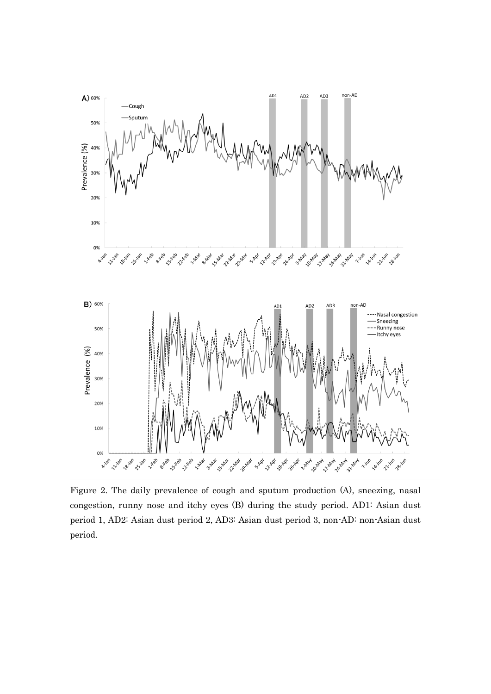

Figure 2. The daily prevalence of cough and sputum production (A), sneezing, nasal congestion, runny nose and itchy eyes (B) during the study period. AD1: Asian dust period 1, AD2: Asian dust period 2, AD3: Asian dust period 3, non-AD: non-Asian dust period.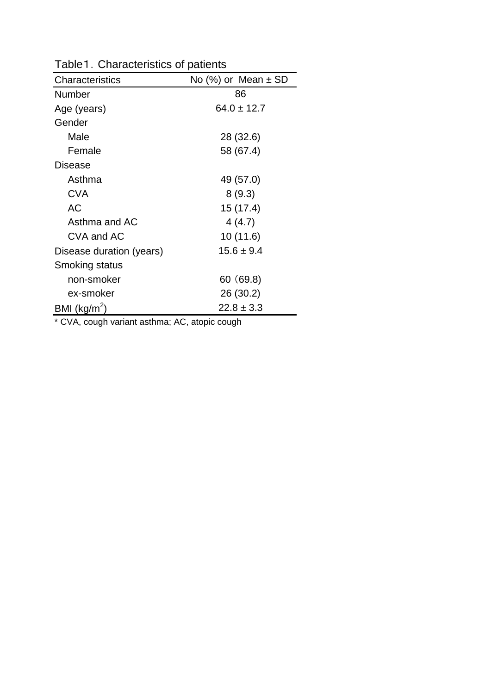| Characteristics          | No $(\%)$ or Mean $\pm$ SD |
|--------------------------|----------------------------|
| Number                   | 86                         |
| Age (years)              | $64.0 \pm 12.7$            |
| Gender                   |                            |
| Male                     | 28 (32.6)                  |
| Female                   | 58 (67.4)                  |
| Disease                  |                            |
| Asthma                   | 49 (57.0)                  |
| CVA                      | 8(9.3)                     |
| AC.                      | 15 (17.4)                  |
| Asthma and AC            | 4(4.7)                     |
| CVA and AC               | 10 (11.6)                  |
| Disease duration (years) | $15.6 \pm 9.4$             |
| Smoking status           |                            |
| non-smoker               | 60 (69.8)                  |
| ex-smoker                | 26 (30.2)                  |
| BMI ( $kg/m2$ )          | $22.8 \pm 3.3$             |

Table1. Characteristics of patients

\* CVA, cough variant asthma; AC, atopic cough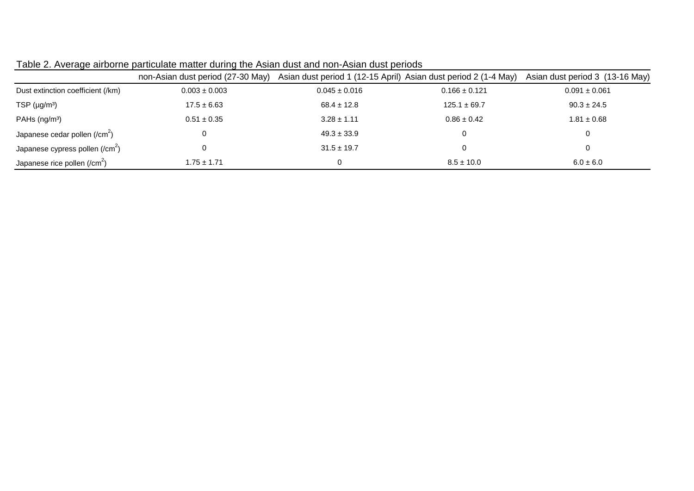|                                           | non-Asian dust period (27-30 May) | Asian dust period 1 (12-15 April) Asian dust period 2 (1-4 May) |                   | Asian dust period 3 (13-16 May) |
|-------------------------------------------|-----------------------------------|-----------------------------------------------------------------|-------------------|---------------------------------|
| Dust extinction coefficient (/km)         | $0.003 \pm 0.003$                 | $0.045 \pm 0.016$                                               | $0.166 \pm 0.121$ | $0.091 \pm 0.061$               |
| TSP $(\mu g/m^3)$                         | $17.5 \pm 6.63$                   | $68.4 \pm 12.8$                                                 | $125.1 \pm 69.7$  | $90.3 \pm 24.5$                 |
| PAHs (ng/m <sup>3</sup> )                 | $0.51 \pm 0.35$                   | $3.28 \pm 1.11$                                                 | $0.86 \pm 0.42$   | $1.81 \pm 0.68$                 |
| Japanese cedar pollen (/cm <sup>2</sup> ) | 0                                 | $49.3 \pm 33.9$                                                 |                   | 0                               |
| Japanese cypress pollen (/ $cm2$ )        | 0                                 | $31.5 \pm 19.7$                                                 |                   |                                 |
| Japanese rice pollen $(\text{/cm}^2)$     | $1.75 \pm 1.71$                   | $\Omega$                                                        | $8.5 \pm 10.0$    | $6.0 \pm 6.0$                   |

| Table 2. Average airborne particulate matter during the Asian dust and non-Asian dust periods |  |  |  |  |
|-----------------------------------------------------------------------------------------------|--|--|--|--|
|-----------------------------------------------------------------------------------------------|--|--|--|--|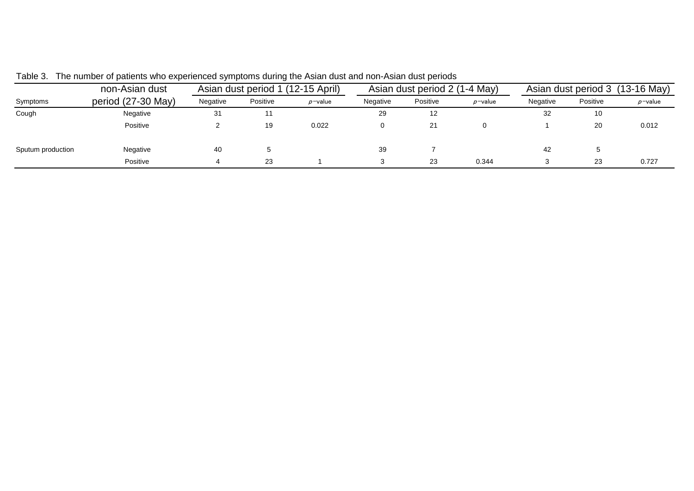|                   | non-Asian dust     | Asian dust period 1 (12-15 April) |          | Asian dust period 2 (1-4 May) |          |          | Asian dust period 3 (13-16 May) |          |          |            |
|-------------------|--------------------|-----------------------------------|----------|-------------------------------|----------|----------|---------------------------------|----------|----------|------------|
| Symptoms          | period (27-30 May) | Negative                          | Positive | $p$ -value                    | Negative | Positive | $p$ -value                      | Negative | Positive | $p$ -value |
| Cough             | Negative           | 31                                |          |                               | 29       | 12       |                                 | 32       | 10       |            |
|                   | Positive           |                                   | 19       | 0.022                         |          | 21       |                                 |          | 20       | 0.012      |
| Sputum production | Negative           | 40                                |          |                               | 39       |          |                                 | 42       |          |            |
|                   | Positive           |                                   | 23       |                               |          | 23       | 0.344                           |          | 23       | 0.727      |

Table 3. The number of patients who experienced symptoms during the Asian dust and non-Asian dust periods